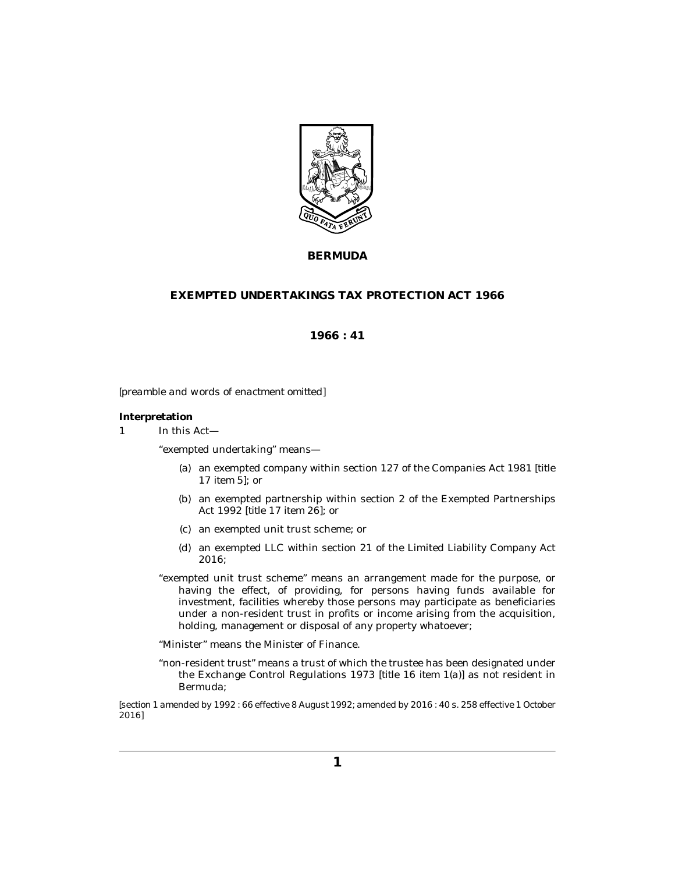

**BERMUDA**

## **EXEMPTED UNDERTAKINGS TAX PROTECTION ACT 1966**

**1966 : 41**

*[preamble and words of enactment omitted]*

## **Interpretation**

In this Act— 1

"exempted undertaking" means—

- an exempted company within section 127 of the Companies Act 1981 [*title* (a) *17 item 5*]; or
- (b) an exempted partnership within section 2 of the Exempted Partnerships Act 1992 [*title 17 item 26*]; or
- an exempted unit trust scheme; or (c)
- (d) an exempted LLC within section 21 of the Limited Liability Company Act 2016;
- "exempted unit trust scheme" means an arrangement made for the purpose, or having the effect, of providing, for persons having funds available for investment, facilities whereby those persons may participate as beneficiaries under a non-resident trust in profits or income arising from the acquisition, holding, management or disposal of any property whatoever;

"Minister" means the Minister of Finance.

"non-resident trust" means a trust of which the trustee has been designated under the Exchange Control Regulations 1973 [*title 16 item 1(a)*] as not resident in Bermuda;

*[section 1 amended by 1992 : 66 effective 8 August 1992; amended by 2016 : 40 s. 258 effective 1 October 2016]*